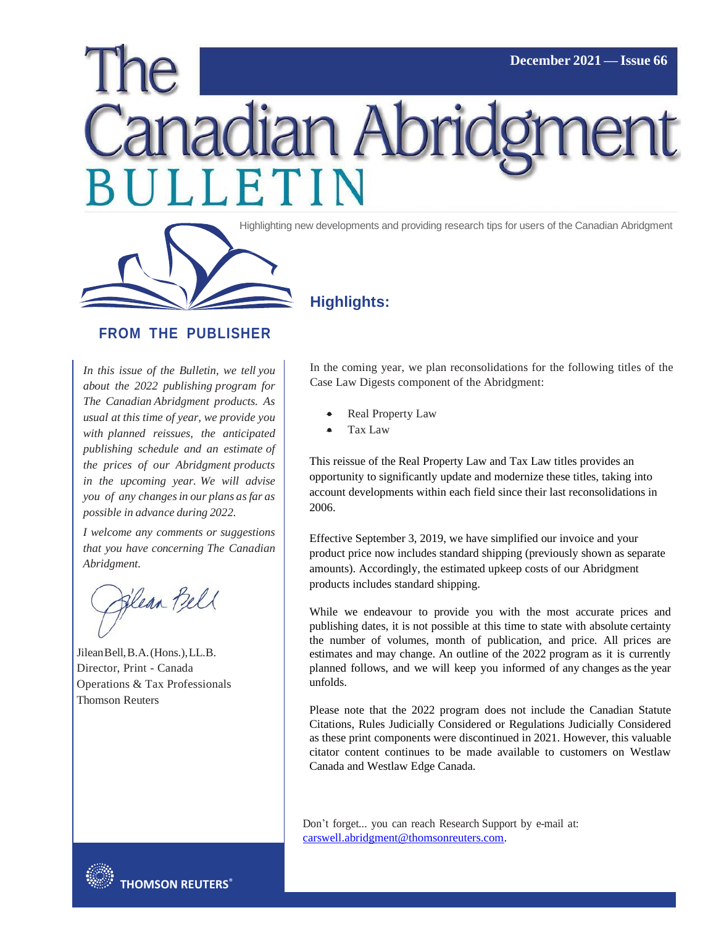# **December 2021 — Issue 66** hadian Abric LETIN



Highlighting new developments and providing research tips for users of the Canadian Abridgment

# **Highlights:**

#### **FROM THE PUBLISHER**

*In this issue of the Bulletin, we tell you about the 2022 publishing program for The Canadian Abridgment products. As usual at this time of year, we provide you with planned reissues, the anticipated publishing schedule and an estimate of the prices of our Abridgment products in the upcoming year. We will advise you of any changesin our plans asfar as possible in advance during 2022.*

*I welcome any comments or suggestions that you have concerning The Canadian Abridgment.*

Flean Bell

JileanBell,B.A.(Hons.),LL.B. Director, Print - Canada Operations & Tax Professionals Thomson Reuters

In the coming year, we plan reconsolidations for the following titles of the Case Law Digests component of the Abridgment:

- Real Property Law
- Tax Law

This reissue of the Real Property Law and Tax Law titles provides an opportunity to significantly update and modernize these titles, taking into account developments within each field since their last reconsolidations in 2006.

Effective September 3, 2019, we have simplified our invoice and your product price now includes standard shipping (previously shown as separate amounts). Accordingly, the estimated upkeep costs of our Abridgment products includes standard shipping.

While we endeavour to provide you with the most accurate prices and publishing dates, it is not possible at this time to state with absolute certainty the number of volumes, month of publication, and price. All prices are estimates and may change. An outline of the 2022 program as it is currently planned follows, and we will keep you informed of any changes as the year unfolds.

Please note that the 2022 program does not include the Canadian Statute Citations, Rules Judicially Considered or Regulations Judicially Considered as these print components were discontinued in 2021. However, this valuable citator content continues to be made available to customers on Westlaw Canada and Westlaw Edge Canada.

Don't forget... you can reach Research Support by e-mail at: [carswell.abridgment@thomsonreuters.com.](mailto:carswell.abridgment@thomsonreuters.com?subject=Abridgment%20Help%20Request)

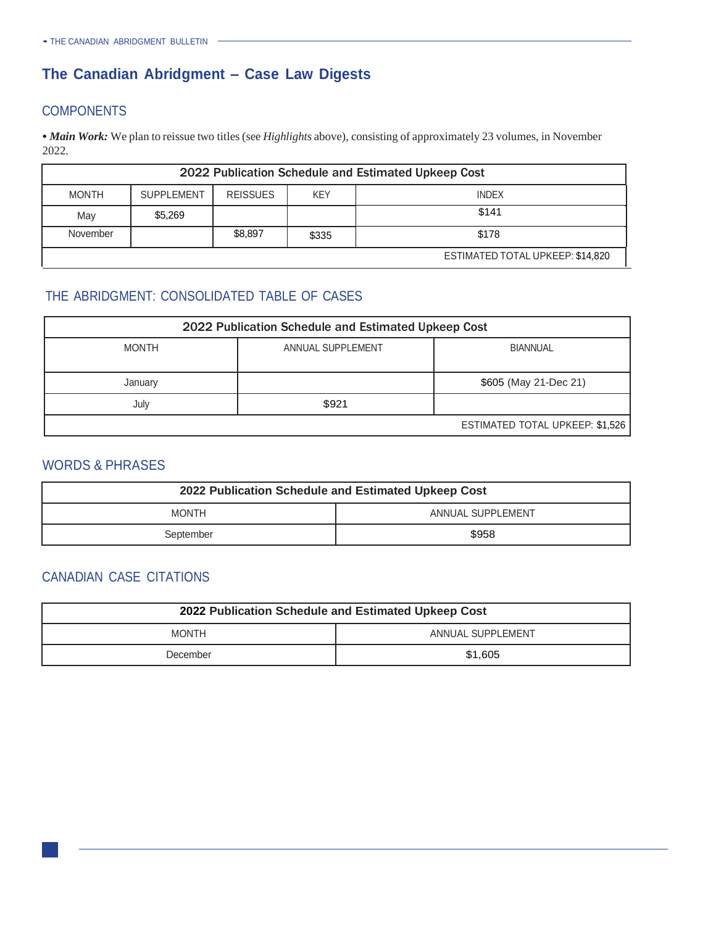# **The Canadian Abridgment – Case Law Digests**

## **COMPONENTS**

• *Main Work:* We plan to reissue two titles (see *Highlights* above), consisting of approximately 23 volumes, in November 2022.

| 2022 Publication Schedule and Estimated Upkeep Cost |                   |                 |            |                                  |  |
|-----------------------------------------------------|-------------------|-----------------|------------|----------------------------------|--|
| <b>MONTH</b>                                        | <b>SUPPLEMENT</b> | <b>REISSUES</b> | <b>KEY</b> | <b>INDEX</b>                     |  |
| May                                                 | \$5,269           |                 |            | \$141                            |  |
| November                                            |                   | \$8,897         | \$335      | \$178                            |  |
|                                                     |                   |                 |            | ESTIMATED TOTAL UPKEEP: \$14,820 |  |

## THE ABRIDGMENT: CONSOLIDATED TABLE OF CASES

| 2022 Publication Schedule and Estimated Upkeep Cost |                   |                                 |
|-----------------------------------------------------|-------------------|---------------------------------|
| <b>MONTH</b>                                        | ANNUAL SUPPLEMENT | <b>BIANNUAL</b>                 |
|                                                     |                   |                                 |
| January                                             |                   | \$605 (May 21-Dec 21)           |
| July                                                | \$921             |                                 |
|                                                     |                   | ESTIMATED TOTAL UPKEEP: \$1,526 |

#### WORDS & PHRASES

| 2022 Publication Schedule and Estimated Upkeep Cost |                   |
|-----------------------------------------------------|-------------------|
| <b>MONTH</b>                                        | ANNUAL SUPPLEMENT |
| September                                           | \$958             |

# CANADIAN CASE CITATIONS

| 2022 Publication Schedule and Estimated Upkeep Cost |                   |
|-----------------------------------------------------|-------------------|
| <b>MONTH</b>                                        | ANNUAL SUPPLEMENT |
| December                                            | \$1,605           |